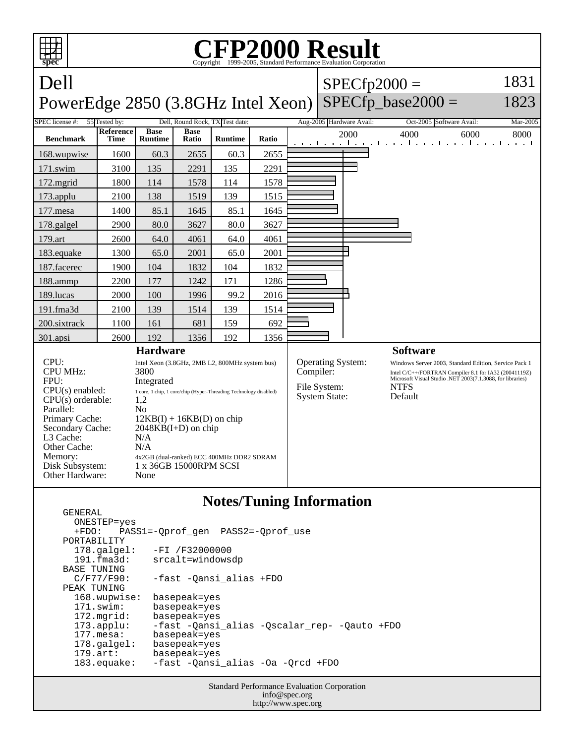

## **Notes/Tuning Information**

| GENERAL               |                                              |
|-----------------------|----------------------------------------------|
| ONESTEP=yes           |                                              |
| $+FDO:$               | PASS1=-Oprof gen PASS2=-Oprof use            |
| PORTABILITY           |                                              |
| $178.\text{qalgel}$ : | $-FI / F32000000$                            |
| 191.fma3d:            | srcalt=windowsdp                             |
| BASE TUNING           |                                              |
| C/F77/F90:            | -fast -Oansi alias +FDO                      |
| PEAK TUNING           |                                              |
| 168.wupwise:          | basepeak=yes                                 |
| $171$ .swim:          | basepeak=yes                                 |
| $172.\text{mgrid}:$   | basepeak=yes                                 |
| $173.\text{applu}:$   | -fast -Oansi alias -Oscalar rep- -Oauto +FDO |
| $177$ . mesa:         | basepeak=yes                                 |
| $178.\text{q}$        | basepeak=yes                                 |
| $179.\text{art}$ :    | basepeak=yes                                 |
| $183$ .equake:        | -fast -Qansi_alias -Oa -Qrcd +FDO            |
|                       |                                              |

Standard Performance Evaluation Corporation info@spec.org http://www.spec.org